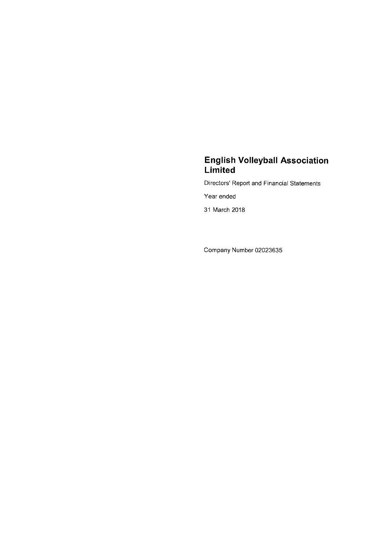### English Volleyball Association Limited

Directors' Report and Financial Statements

Year ended

31 March 2018

Company Number 02023635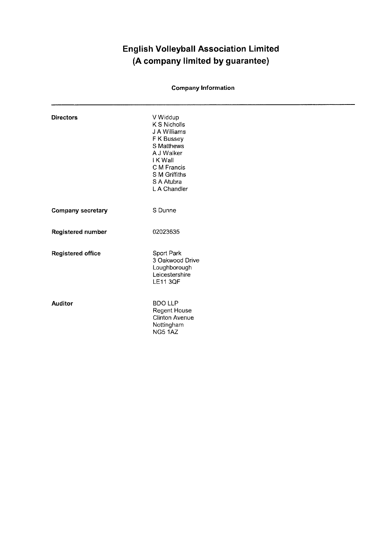### Gompany lnformation

| <b>Directors</b>         | V Widdup<br><b>K S Nicholls</b><br>J A Williams<br>F K Bussey<br>S Matthews<br>A J Walker<br>I K Wall<br>C M Francis<br><b>S M Griffiths</b><br>S A Atubra<br>L. A Chandler |
|--------------------------|-----------------------------------------------------------------------------------------------------------------------------------------------------------------------------|
| <b>Company secretary</b> | S Dunne                                                                                                                                                                     |
| <b>Registered number</b> | 02023635                                                                                                                                                                    |
| <b>Registered office</b> | Sport Park<br>3 Oakwood Drive<br>Loughborough<br>Leicestershire<br><b>LE11 3QF</b>                                                                                          |
| <b>Auditor</b>           | <b>BDO LLP</b><br><b>Regent House</b><br><b>Clinton Avenue</b><br>Nottingham<br><b>NG5 1AZ</b>                                                                              |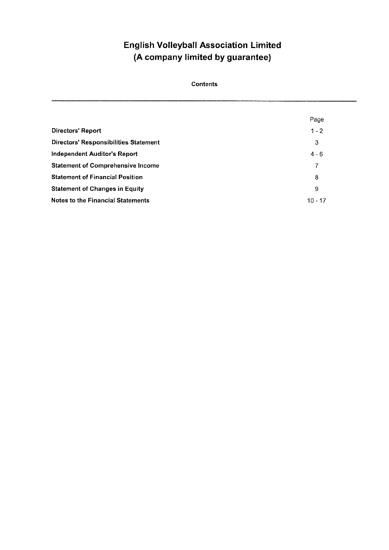**Contents** 

|                                              | Page      |
|----------------------------------------------|-----------|
| Directors' Report                            | $1 - 2$   |
| <b>Directors' Responsibilities Statement</b> | 3         |
| Independent Auditor's Report                 | $4 - 6$   |
| <b>Statement of Comprehensive Income</b>     | 7         |
| <b>Statement of Financial Position</b>       | 8         |
| <b>Statement of Changes in Equity</b>        | 9         |
| <b>Notes to the Financial Statements</b>     | $10 - 17$ |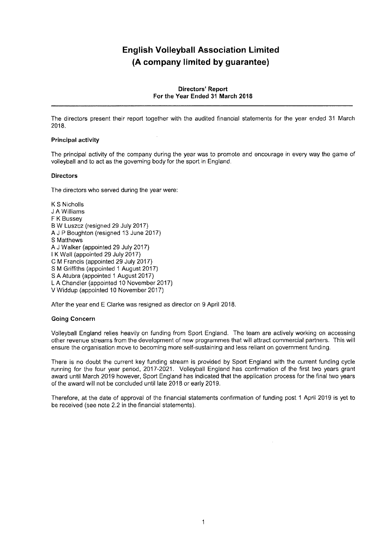#### Directors' Report For the Year Ended 3l March 2018

The directors present their report together with the audited financial statements for the year ended 31 March 2018.

#### Principal activity

The principal activity of the company during the year was to promote and encourage in every way the game of volleyball and to act as the governing body for the sport in England.

#### Directors

The directors who served during the year were:

K S Nicholls J A Williams F K Bussey B W Luszcz (resigned 29 July 2017) A J P Boughton (resigned 13 June 2017) S Matthews A J Walker (appointed 29 July 2017) I K Wall (appointed 29 July 2017) C M Francis (appointed 29 July 2017) S M Griffiths (appointed 1 August 2017) S A Atubra (appointed 1 August 2017) L A Chandler (appointed 10 November 2017) V Widdup (appointed 10 November 2017)

After the year end E Clarke was resigned as director on 9 April 2018.

#### Going Concern

Volleyball England relies heavily on funding from Sport England. The team are actively working on accessing other revenue streams from the development of new programmes that will attract commercial partners. This will ensure the organisation move to becoming more self-sustaining and less reliant on government funding.

There is no doubt the current key funding stream is provided by Sport England with the current funding cycle running for the four year period, 2017-2021. Volleyball England has confirmation of the first two years grant award until March 2019 however, Sport England has indicated that the application process for the final two years of the award will not be concluded until late 2018 or early 2019.

Therefore, at the date of approval of the financial statements confirmation of funding post 1 April 2019 is yet to be received (see note 2.2 in the financial statements).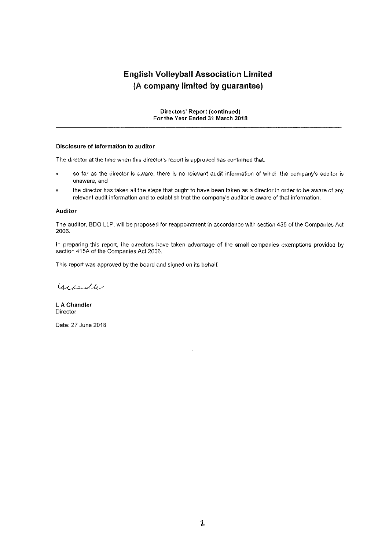Directors' Report (continued) For the Year Ended 3l March 2018

#### Disclosure of lnformation to auditor

The director at the time when this director's report is approved has confirmed that:

- a so far as the director is aware, there is no relevant audit information of which the company's auditor is unaware, and
- a the director has taken all the steps that ought to have been taken as a director in order to be aware of any relevant audit information and to establish that the company's auditor is aware of that information.

#### Auditor

The auditor, BDO LLP, will be proposed for reappointment in accordance with section 485 of the Companies Act 2006.

ln preparing this report, the directors have taken advantage of the small companies exemptions provided by section 4154 of the Companies Act 2006.

This report was approved by the board and signed on its behalf.

 $Q_1$ 

L A Chandler Director

Date:27 June 2018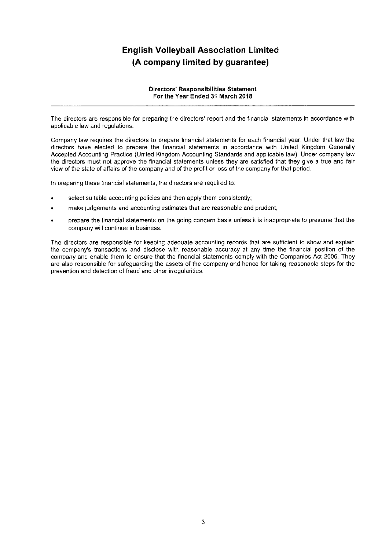#### Directors' Responsibilities Statement For the Year Ended 31 March 2018

The directors are responsible for preparing the directors' report and the financial statements in accordance with applicable law and regulations.

Company law requires the directors to prepare financial statements for each financial year. Under that law the directors have elected to prepare the financial statements in accordance with United Kingdom Generally Accepted Accounting Practice (United Kingdom Accounting Standards and applicable law). Under company law the directors must not approve the flnancial statements unless they are satisfied that they give a true and fair view of the state of affairs of the company and of the profit or loss of the company for that period.

ln preparing these financial statements, the directors are required to:

- select suitable accounting policies and then apply them consistently; a
- make judgements and accounting estimates that are reasonable and prudent; a
- prepare the financial statements on the going concern basis unless it is inappropriate to presume that the company will continue in business. a

The directors are responsible for keeping adequate accounting records that are sufficient to show and explain the company's transactions and disclose with reasonable accuracy at any time the financial position of the company and enable them to ensure that the financial statements comply with the Companies Act 2006. They are also responsible for safeguarding the assets of the company and hence for taking reasonable steps for the prevention and detection of fraud and other irregularities.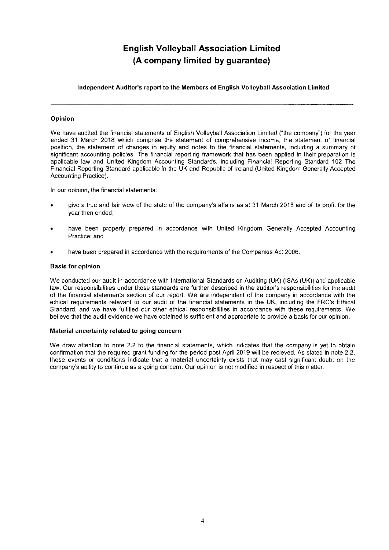#### lndependent Auditor's report to the Members of English Volleyball Association Limited

#### Opinion

We have audited the financial statements of English Volleyball Association Limited ("the company") for the year ended 31 March 2018 which comprise the statement of comprehensive income, the statement of financial position, the statement of changes in equity and notes to the financial statements, including a summary of significant accounting policies. The financial reporting framework that has been applied in their preparation is applicable law and United Kingdom Accounting Standards, including Financial Reporting Standard 102 The Financial Reporting Standard applicable in the UK and Republic of lreland (United Kingdom Generally Accepted Accounting Practice).

ln our opinion, the fìnancial statements:

- give a true and fair view of the state of the company's affairs as at 31 March 2018 and of its profìt for the year then ended; a
- have been properly prepared in accordance with United Kingdom Generally Accepted Accounting Practice; and
- have been prepared in accordance with the requirements of the Companies Act 2006. a

#### Basis for opinion

We conducted our audit in accordance with International Standards on Auditing (UK) (ISAs (UK)) and applicable law. Our responsibilities under those standards are further described in the auditor's responsibilities for the audit of the financial statements section of our report. We are independent of the company in accordance with the ethical requirements relevant to our audit of the financial statements in the UK, including the FRC's Ethical Standard, and we have fulfilled our other ethical responsibilities in accordance with these requirements. We believe that the audit evidence we have obtained is suffìcient and appropriate to provide a basis for our opinion.

#### Material uncertainty related to going concern

We draw attention to note 2.2 to the financial statements, which indicates that the company is yet to obtain confirmation that the required grant funding for the period post April 2019 will be recieved. As stated in nole 2.2, these events or conditions indicate that a material uncertainty exists that may cast significant doubt on the company's ability to continue as a going concern. Our opinion is not modified in respect of this matter.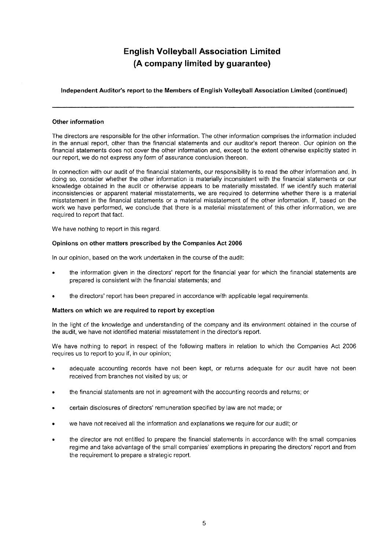#### lndependent Auditor's report to the Members of English Volleyball Association Limited (continued)

#### Other information

The directors are responsible for the other information. The other information comprises the information included in the annual report, other than the financial statements and our auditor's report thereon. Our opinion on the financial statements does not cover the other information and, except to the extent otherwise explicitly stated in our report, we do not express any form of assurance conclusion thereon.

ln connection with our audit of the financial statements, our responsibility is to read the other information and, in doing so, consider whether the other information is materially inconsistent with the financial statements or our knowledge obtained in the audit or otherwise appears to be materially misstated. lf we identify such material inconsistencies or apparent material misstatements, we are required to determine whether there is a material misstatement in the financial statements or a material misstatement of the other information. lf, based on the work we have performed, we conclude that there is a material misstatement of this other information, we are required to report that fact.

We have nothing to report in this regard.

#### Opinions on other matters prescribed by the Companies Act 2006

ln our opinion, based on the work undertaken in the course of the audit:

- the information given in the directors' report for the financial year for which the fìnancial statements are prepared is consistent with the financial statements; and a
- the directors' report has been prepared in accordance with applicable legal requirements.

#### Matters on which we are required to report by exception

ln the light of the knowledge and understanding of the company and its environment obtained in the course of the audit, we have not identified material misstatement in the director's report.

We have nothing to report in respect of the following matters in relation to which the Companies Act 2006 requires us to report to you if, in our opinion;

- adequate accounting records have not been kept, or returns adequate for our audit have not been received from branches not visited by us; or a
- the financial statements are not in agreement with the accounting records and returns; or a
- certain disclosures of directors' remuneration specified by law are not made; or a
- a we have not received all the information and explanations we require for our audit; or
- a the director are not entitled to prepare the financial statements in accordance with the small companies regime and take advantage of the small companies' exemptions in preparing the directors' report and from the requirement to prepare a strategic report.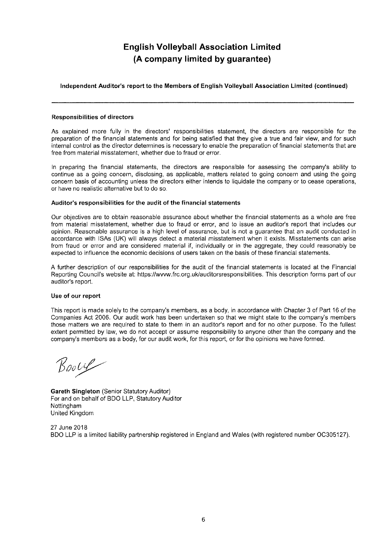#### lndependent Auditor's report to the Members of English Volleyball Association Limited (continued)

#### Responsibilities of directors

As explained more fully in the directors' responsibilities statement, the directors are responsible for the preparation of the financial statements and for being satisfied that they give a true and fair view, and for such internal control as the director determines is necessary to enable the preparation of financial statements that are free from material misstatement, whether due to fraud or error.

ln preparing the financial statements, the directors are responsible for assessing the company's ability to continue as a going concern, disclosing, as applicable, matters related to going concern and using the going concern basis of accounting unless the directors either intends to liquidate the company or to cease operations, or have no realistic alternative but to do so.

#### Auditor's responsibilities for the audit of the financial statements

Our objectives are to obtain reasonable assurance about whether the financial statements as a whole are free from material misstatement, whether due to fraud or error, and to issue an auditor's report that includes our opinion. Reasonable assurance is a high level of assurance, but is not a guarantee that an audit conducted in accordance with lSAs (UK) will always detect a material misstatement when it exists. Misstatements can arise from fraud or error and are considered material if, individually or in the aggregate, they could reasonably be expected to influence the economic decisions of users taken on the basis of these financial statements.

A further description of our responsibilities for the audit of the financial statements is located at the Financial Reporting Council's website at: https://wvvw.frc.org.uk/auditorsresponsibilities. This description forms part of our auditor's report.

#### Use of our report

This report is made solely to the company's members, as a body, in accordance with Chapter 3 of Part 16 of the Companies Act 2006. Our audit work has been undertaken so that we might state to the company's members those matters we are required to state to them in an auditor's report and for no other purpose. To the fullest extent permitted by law, we do not accept or assume responsibility to anyone other than the company and the company's members as a body, for our audit work, for this report, or for the opinions we have formed.

ßoo

Gareth Singleton (Senior Statutory Auditor) For and on behalf of BDO LLP, Statutory Auditor Nottingham United Kingdom

27 June 2018 BDO LLP is a limited liability partnership registered in England and Wales (with registered number OC305127).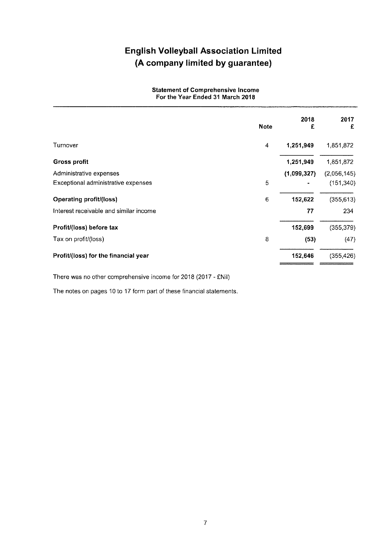#### Statement of Comprehensive lncome For the Year Ended 3l March 2018

|                                        | <b>Note</b> | 2018<br>£   | 2017<br>£   |
|----------------------------------------|-------------|-------------|-------------|
| Turnover                               | 4           | 1,251,949   | 1,851,872   |
| Gross profit                           |             | 1,251,949   | 1,851,872   |
| Administrative expenses                |             | (1,099,327) | (2,056,145) |
| Exceptional administrative expenses    | 5           |             | (151, 340)  |
| <b>Operating profit/(loss)</b>         | 6           | 152,622     | (355, 613)  |
| Interest receivable and similar income |             | 77          | 234         |
| Profit/(loss) before tax               |             | 152,699     | (355, 379)  |
| Tax on profit/(loss)                   | 8           | (53)        | (47)        |
| Profit/(loss) for the financial year   |             | 152,646     | (355, 426)  |
|                                        |             |             |             |

There was no other comprehensive income for 2018 (2017 - £Nil)

The notes on pages 10 to 17 form part of these financial statements.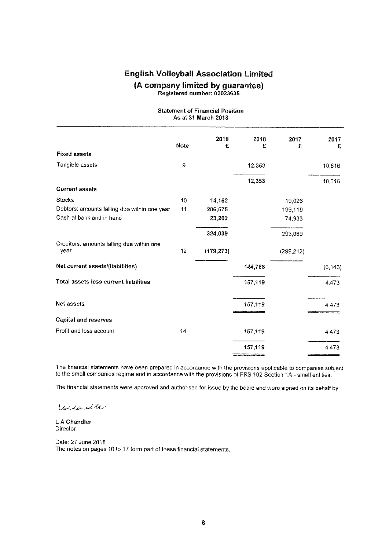### **English Volleyball Association Limited**

(A company limited by guarantee)

Registered number: 02023635

|                                                   | Note | 2018<br>£  | 2018<br>£ | 2017<br>£  | 2017<br>£ |
|---------------------------------------------------|------|------------|-----------|------------|-----------|
| <b>Fixed assets</b>                               |      |            |           |            |           |
| Tangible assets                                   | 9    |            | 12,353    |            | 10,616    |
|                                                   |      |            | 12,353    |            | 10,616    |
| <b>Current assets</b>                             |      |            |           |            |           |
| <b>Stocks</b>                                     | 10   | 14,162     |           | 19,026     |           |
| Debtors: amounts falling due within one year      | 11   | 286,675    |           | 199,110    |           |
| Cash at bank and in hand                          |      | 23,202     |           | 74,933     |           |
|                                                   |      | 324,039    |           | 293,069    |           |
| Creditors: amounts falling due within one<br>year | 12   | (179, 273) |           | (299, 212) |           |
| Net current assets/(liabilities)                  |      |            | 144,766   |            | (6, 143)  |
| Total assets less current liabilities             |      |            | 157 119   |            | 4,473     |
| Net assets                                        |      |            | 157,119   |            | 4,473     |
| <b>Capital and reserves</b>                       |      |            |           |            |           |
| Profit and loss account                           | 14   |            | 157,119   |            | 4,473     |
|                                                   |      |            | 157,119   |            | 4473      |

**Statement of Financial Position** As at 31 March 2018

The financial statements have been prepared in accordance with the provisions applicable to companies subject to the small companies regime and in accordance with the provisions of FRS 102 Section 1A - small entities.

The financial statements were approved and authorised for issue by the board and were signed on its behalf by:

lachadh

L A Chandler Director

Date: 27 June 2018 The notes on pages 10 to 17 form part of these financial statements.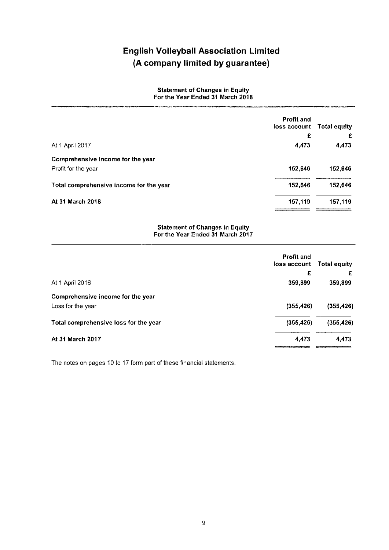#### Statement of Changes in Equity Forthe Year Ended 31 March 2018

|                                         | <b>Profit and</b> |              |
|-----------------------------------------|-------------------|--------------|
|                                         | loss account      | Total equity |
|                                         | £                 | £            |
| At 1 April 2017                         | 4,473             | 4,473        |
| Comprehensive income for the year       |                   |              |
| Profit for the year                     | 152,646           | 152,646      |
| Total comprehensive income for the year | 152,646           | 152,646      |
| At 31 March 2018                        | 157,119           | 157,119      |
|                                         |                   |              |

#### Statement of Changes in Equity For the Year Ended 3l March 2017

| <b>Profit and</b><br>loss account | Total equity |
|-----------------------------------|--------------|
| £                                 | £            |
| 359,899                           | 359,899      |
|                                   |              |
| (355, 426)                        | (355, 426)   |
| (355, 426)                        | (355, 426)   |
| 4,473                             | 4,473        |
|                                   |              |

The notes on pages 10 to 17 form part of these financial statements.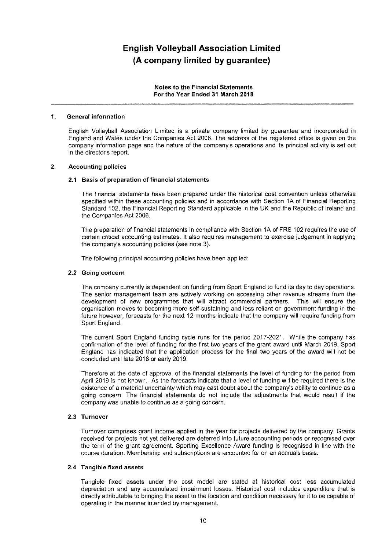#### Notes to the Financial Statements Forthe Year Ended 31 March 2018

#### 1. General information

English Volleyball Association Limited is a private company limited by guarantee and incorporated in England and Wales under the Companies Act 2006. The address of the registered office is given on the company information page and the nature of the company's operations and its principal activity is set out in the director's report.

#### 2. Accounting policies

#### 2.1 Basis of preparation of financial statements

The financial statements have been prepared under the historical cost convention unless otherwise specified within these accounting policies and in accordance with Section 1A of Financial Reporting Standard 102, the Financial Reporting Standard applicable in the UK and the Republic of lreland and the Companies Act 2006.

The preparation of financial statements in compliance with Section 1A of FRS 102 requires the use of certain critical accounting estimates. lt also requires management to exercise judgement in applying the company's accounting policies (see note 3).

The following principal accounting policies have been applied:

#### 2.2 Going concern

The company currently is dependent on funding from Sport England to fund its day to day operations. The senior management team are actively working on accessing other revenue streams from the development of new programmes that will attract commercial partners. This will ensure the organisation moves to becoming more self-sustaining and less reliant on government funding in the future however, forecasts for the next 12 months indicate that the companywill require funding from Sport England.

The current Sport England funding cycle runs for the period2017-2021. While the company has confirmation of the level of funding for the first two years of the grant award until March 2019, Sport England has indicated that the application process for the final two years of the award will not be concluded until late 2018 or early 2019.

Therefore at the date of approval of the financial statements the level of funding for the period from April 2019 is not known. As the forecasts indicate that a level of funding will be required there is the existence of a material uncertainty which may cast doubt about the company's ability to continue as a going concern. The financial statements do not include the adjustments that would result if the company was unable to continue as a going concern.

#### 2.3 Turnover

Turnover comprises grant income applied in the year for projects delivered by the company. Grants received for projects not yet delivered are deferred into future accounting periods or recognised over the term of the grant agreement. Sporting Excellence Award funding is recognised in line with the course duration. Membership and subscriptions are accounted for on an accruals basis.

#### 2.4 Tangible fixed assets

Tangible fixed assets under the cost model are stated at historical cost less accumulated depreciation and any accumulated impairment losses. Historical cost includes expenditure that is directly attributable to bringing the asset to the location and condition necessary for it to be capable of operating in the manner intended by management.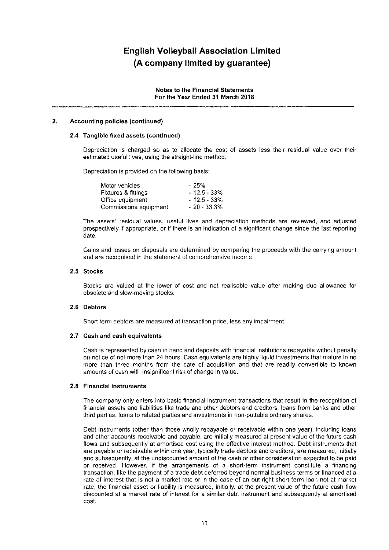Notes to the Financial Statements Forthe Year Ended 3l March 2018

#### 2. Accounting policies (continued)

#### 2.4 Tangible fixed assets (continued)

Depreciation is charged so as to allocate the cost of assets less their residual value over their estimated useful lives, using the straight-line method.

Depreciation is provided on the following basis:

| Motor vehicles        | - 25%         |
|-----------------------|---------------|
| Fixtures & fittings   | $-12.5 - 33%$ |
| Office equipment      | - 12.5 - 33%  |
| Commissions equipment | $-20 - 33.3%$ |

The assets' residual values, useful lives and depreciation methods are reviewed, and adjusted prospectively if appropriate, or if there is an indication of a significant change since the last reporting date.

Gains and losses on disposals are determined by comparing the proceeds with the carrying amount and are recognised in the statement of comprehensive income.

#### 2.5 Stocks

Stocks are valued at the lower of cost and net realisable value after making due allowance for obsolete and slow-moving stocks.

#### 2.6 Debtors

Short term debtors are measured at transaction price, less any impairment.

#### 2.7 Cash and cash equivalents

Cash is represented by cash in hand and deposits with financial institutions repayable without penalty on notice of not more lhan 24 hours. Cash equivalents are highly liquid investments that mature in no more than three months from the date of acquisition and that are readily convertible to known amounts of cash with insignificant risk of change in value.

#### 2.8 Financial instruments

The company only enters into basic financial instrument transactions that result in the recognition of financial assets and liabilities like trade and other debtors and creditors, loans from banks and other third parties, loans to related parties and investments in non-puttable ordinary shares.

Debt instruments (other than those wholly repayable or receivable within one year), including loans and other accounts receivable and payable, are initially measured at present value of the future cash flows and subsequently at amortised cost using the effective interest method. Debt instruments that are payable or receivable within one year, typically trade debtors and creditors, are measured, initially and subsequently, at the undiscounted amount of the cash or other consideration expected to be paid or received. However, if the arrangements of a short-term instrument constitute a financing transaction, like the payment of a trade debt deferred beyond normal business terms or financed at a rate of interest that is not a market rate or in the case of an out-right short-term loan not at market rate, the financial asset or liability is measured, initially, at the present value of the future cash flow discounted at a market rate of interest for a similar debt instrument and subsequently at amortised cost.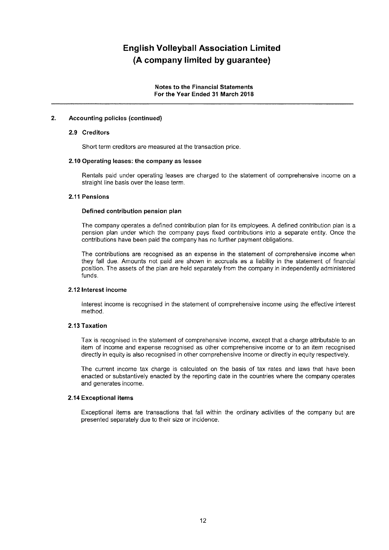#### Notes to the Financial Statements For the Year Ended 31 March 2018

#### 2. Accounting policies (continued)

#### 2.9 Creditors

Short term creditors are measured at the transaction price

#### 2.10 Operating leases: the company as lessee

Rentals paid under operating leases are charged to the statement of comprehensive income on a straight line basis over the lease term.

#### 2.ll Pensions

#### Defined contribution pension plan

The company operates a defined contribution plan for its employees. A defined contribution plan is a pension plan under which the company pays fixed contributions into a separate entity. Once the contributions have been paid the company has no further payment obligations.

The contributions are recognised as an expense in the slatement of comprehensíve íncome when they fall due. Amounts not paid are shown in accruals as a liability in the statement of fìnancial position. The assets of the plan are held separately from the company in independently administered funds.

#### 2.12 lnterest income

lnterest income is recognised in the statement of comprehensive income using the effective interest method.

#### 2.13 Taxation

Tax is recognised in the statement of comprehensive income, except that a charge attributable to an item of income and expense recognised as other comprehensive income or to an item recognised directly in equity is also recognised in other comprehensive income or directly in equity respectively.

The current income tax charge is calculated on the basis of tax rates and laws that have been enacted or substantively enacted by the reporting date in the countries where the company operates and generates income.

#### 2.14 Exceptional items

Exceptional items are transactions that fall within the ordinary activities of the company but are presented separately due to their size or incidence.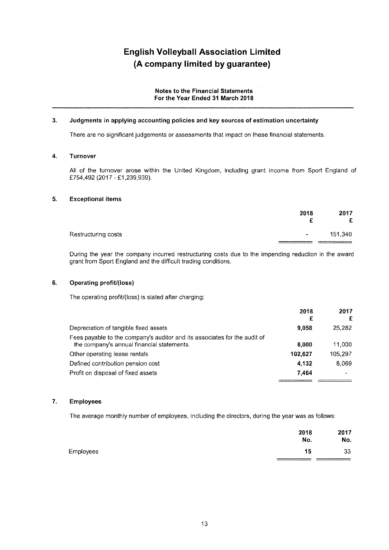#### Notes to the Financial Statements For the Year Ended 3l March 2018

#### 3. Judgments in applying accounting policies and key sources of estimation uncertainty

There are no significant judgements or assessments that impact on these financial statements.

#### 4. Turnover

All of the turnover arose within the United Kingdom, including grant income from Sport England of £754,492 (2017 - £1,239,939).

#### 5. Exceptional items

|                     | 2018   | 2017<br>£  |
|---------------------|--------|------------|
| Restructuring costs | $\sim$ | 151,340    |
|                     |        | . <b> </b> |

During the year the company incurred restructuring costs due to the impending reduction in the award grant from Sport England and the difflcult trading conditions.

#### 6. Operating profit/(loss)

The operating profit/(loss) is stated after charging:

|                                                                                                                        | 2018<br>£ | 2017<br>£ |
|------------------------------------------------------------------------------------------------------------------------|-----------|-----------|
| Depreciation of tangible fixed assets                                                                                  | 9.058     | 25,282    |
| Fees payable to the company's auditor and its associates for the audit of<br>the company's annual financial statements | 8,000     | 11,000    |
| Other operating lease rentals                                                                                          | 102.627   | 105,297   |
| Defined contribution pension cost                                                                                      | 4.132     | 8.069     |
| Profit on disposal of fixed assets                                                                                     | 7.464     |           |
|                                                                                                                        |           |           |

### 7. Employees

The average monthly number of employees, including the directors, during the year was as follows:

|           | 2018<br>No. | 2017<br>No. |
|-----------|-------------|-------------|
| Employees | 15          | 33          |
|           |             |             |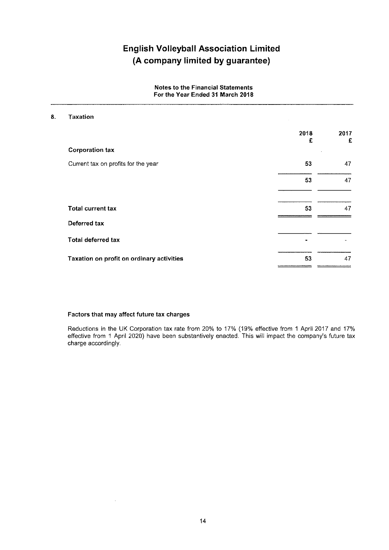#### Notes to the Financial Statements For the Year Ended 31 March 2018

#### 8. Taxation

|                                           | 2018<br>£ | 2017<br>£ |
|-------------------------------------------|-----------|-----------|
| <b>Corporation tax</b>                    |           |           |
| Current tax on profits for the year       | 53        | 47        |
|                                           | 53        | 47        |
| <b>Total current tax</b>                  | 53        | 47        |
| Deferred tax                              |           |           |
| <b>Total deferred tax</b>                 |           |           |
| Taxation on profit on ordinary activities | 53        | 47        |
|                                           |           |           |

#### Factors that may affect future tax charges

÷,

Reductions in the UK Corporation tax rate from 20% to 17% (19% effective from 1 April 2017 and 17% effective from 1 April 2020) have been substantively enacted. This will impact the company's future tax charge accordingly.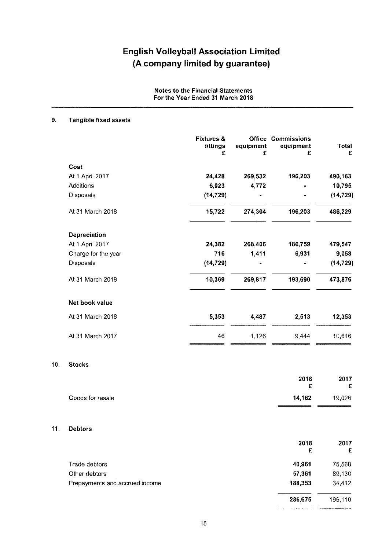Notes to the Financial Statements For the Year Ended 3l March 2018

### 9. Tangible fixed assets

|                     | <b>Fixtures &amp;</b><br>fittings<br>£ | Office<br>equipment<br>£ | <b>Commissions</b><br>equipment<br>£ | Total<br>£ |
|---------------------|----------------------------------------|--------------------------|--------------------------------------|------------|
| Cost                |                                        |                          |                                      |            |
| At 1 April 2017     | 24,428                                 | 269,532                  | 196,203                              | 490,163    |
| Additions           | 6,023                                  | 4,772                    |                                      | 10,795     |
| Disposals           | (14, 729)                              |                          |                                      | (14, 729)  |
| At 31 March 2018    | 15,722                                 | 274,304                  | 196,203                              | 486,229    |
| Depreciation        |                                        |                          |                                      |            |
| At 1 April 2017     | 24,382                                 | 268,406                  | 186,759                              | 479,547    |
| Charge for the year | 716                                    | 1,411                    | 6,931                                | 9,058      |
| Disposals           | (14, 729)                              |                          |                                      | (14, 729)  |
| At 31 March 2018    | 10,369                                 | 269,817                  | 193,690                              | 473,876    |
| Net book value      |                                        |                          |                                      |            |
| At 31 March 2018    | 5,353                                  | 4,487                    | 2,513                                | 12,353     |
| At 31 March 2017    | 46                                     | 1,126                    | 9,444                                | 10,616     |
|                     |                                        |                          |                                      |            |

### 10. Stocks

|                  | 2018<br>e | 2017<br>£ |
|------------------|-----------|-----------|
| Goods for resale | 14,162    | 19,026    |

### 11. Debtors

|                                | 2018<br>£ | 2017<br>£ |
|--------------------------------|-----------|-----------|
| Trade debtors                  | 40,961    | 75,568    |
| Other debtors                  | 57,361    | 89,130    |
| Prepayments and accrued income | 188,353   | 34,412    |
|                                | 286,675   | 199,110   |
|                                |           |           |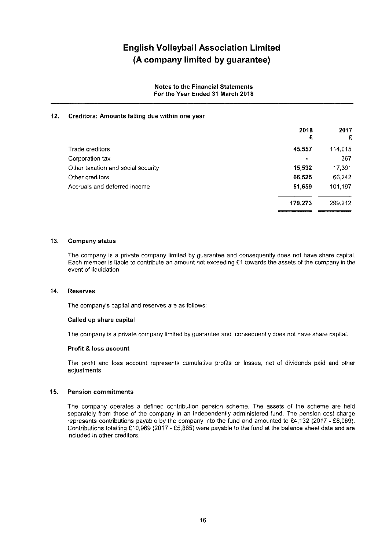Notes to the Financial Statements For the Year Ended 31 March 2018

#### 12. Greditors: Amounts falling due within one year

|                                    | 2018<br>£ | 2017<br>£ |
|------------------------------------|-----------|-----------|
| Trade creditors                    | 45,557    | 114,015   |
| Corporation tax                    | $\bullet$ | 367       |
| Other taxation and social security | 15.532    | 17,391    |
| Other creditors                    | 66,525    | 66,242    |
| Accruals and deferred income       | 51.659    | 101,197   |
|                                    | 179,273   | 299,212   |

#### <sup>f</sup>3. Company status

The company is a private company limited by guarantee and consequently does not have share capital. Each member is liable to contribute an amount not exceeding  $E1$  towards the assets of the company in the event of liquidation.

#### 14. Reserves

The company's capital and reserves are as follows:

#### Galled up share capital

The company is a private company limited by guarantee and consequently does not have share capital.

#### Profit & loss account

The profit and loss account represents cumulative profits or losses, net of dividends paid and other adjustments.

#### 15. Pension commitments

The company operates a defined contribution pension scheme. The assets of the scheme are held separately from those of the company in an independently administered fund. The pension cost charge represents contributions payable by the company into the fund and amounted to  $£4,132$  (2017 - £8,069). Contributions totalling  $£10,969$  (2017 - £5,865) were payable to the fund at the balance sheet date and are included in other creditors.